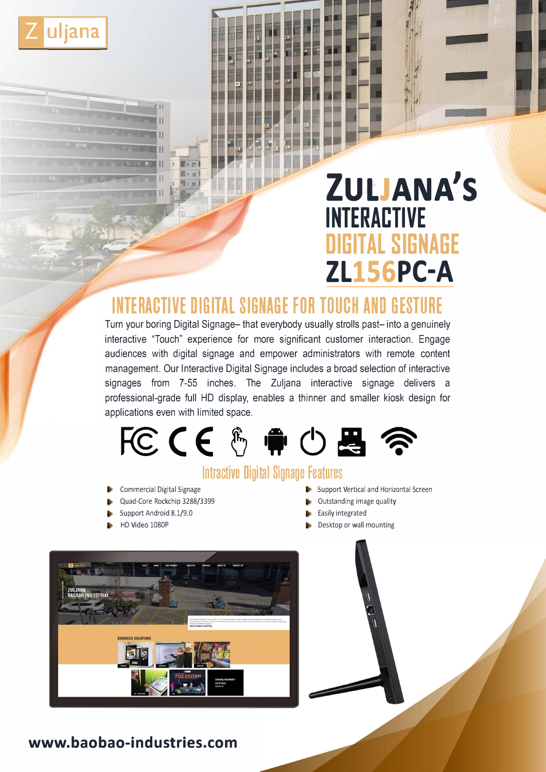

# **ZULJANA'S INTERACTIVE DIGITAL SIGNAGE ZL156PC-A**

# **INTERACTIVE DIGITAL SIGNAGE FOR TOUCH AND GESTURE**

Turn your boring Digital Signage- that everybody usually strolls past- into a genuinely interactive "Touch" experience for more significant customer interaction. Engage audiences with digital signage and empower administrators with remote content management. Our Interactive Digital Signage includes a broad selection of interactive signages from 7-55 inches. The Zuljana interactive signage delivers a professional-grade full HD display, enables a thinner and smaller kiosk design for applications even with limited space.



# **lntractive Digital Signage Features**

- Commercial Digital Signage
- Quad-Core Rockchip 3288/3399
- Support Android 8.1/9.0
- HD Video 1080P
- Support Vertical and Horizontal Screen
- Outstanding image quality
- **Easily integrated**
- Desktop or wall mounting



## **www.baobao-industries.com**